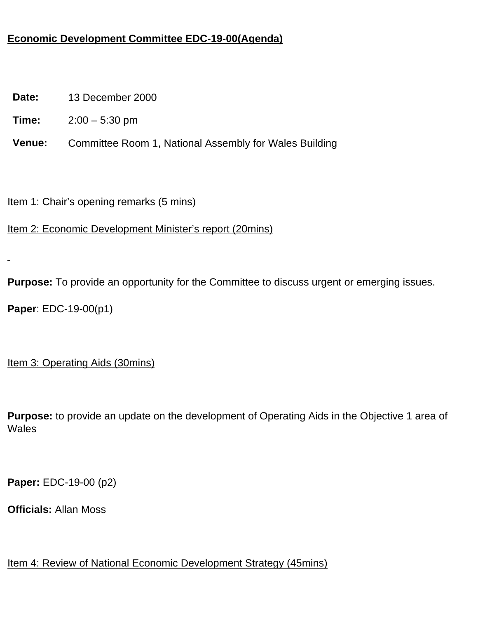## **Economic Development Committee EDC-19-00(Agenda)**

**Date:** 13 December 2000

**Time:** 2:00 – 5:30 pm

**Venue:** Committee Room 1, National Assembly for Wales Building

Item 1: Chair's opening remarks (5 mins)

Item 2: Economic Development Minister's report (20mins)

**Purpose:** To provide an opportunity for the Committee to discuss urgent or emerging issues.

**Paper**: EDC-19-00(p1)

Item 3: Operating Aids (30mins)

**Purpose:** to provide an update on the development of Operating Aids in the Objective 1 area of **Wales** 

**Paper:** EDC-19-00 (p2)

**Officials:** Allan Moss

Item 4: Review of National Economic Development Strategy (45mins)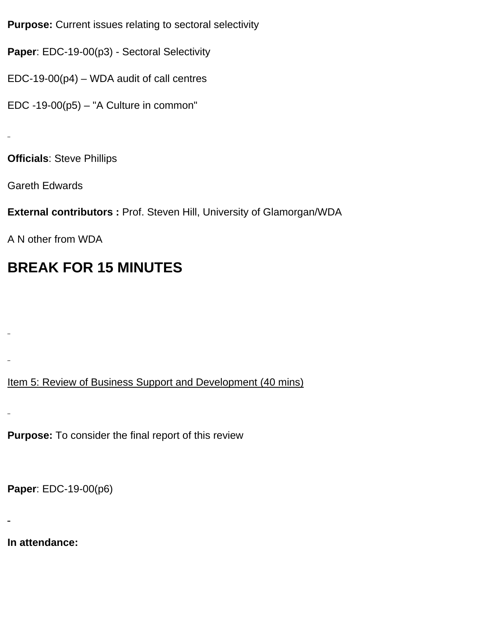**Purpose:** Current issues relating to sectoral selectivity

**Paper**: EDC-19-00(p3) - Sectoral Selectivity

EDC-19-00(p4) – WDA audit of call centres

EDC -19-00(p5) – "A Culture in common"

**Officials**: Steve Phillips

Gareth Edwards

**External contributors :** Prof. Steven Hill, University of Glamorgan/WDA

A N other from WDA

## **BREAK FOR 15 MINUTES**

Item 5: Review of Business Support and Development (40 mins)

**Purpose:** To consider the final report of this review

**Paper**: EDC-19-00(p6)

**In attendance:**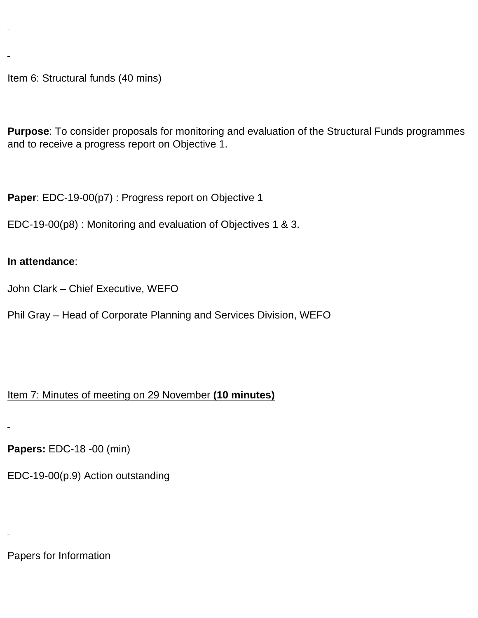Item 6: Structural funds (40 mins)

**Purpose**: To consider proposals for monitoring and evaluation of the Structural Funds programmes and to receive a progress report on Objective 1.

**Paper**: EDC-19-00(p7) : Progress report on Objective 1

EDC-19-00(p8) : Monitoring and evaluation of Objectives 1 & 3.

## **In attendance**:

John Clark – Chief Executive, WEFO

Phil Gray – Head of Corporate Planning and Services Division, WEFO

## Item 7: Minutes of meeting on 29 November **(10 minutes)**

**Papers:** EDC-18 -00 (min)

EDC-19-00(p.9) Action outstanding

Papers for Information